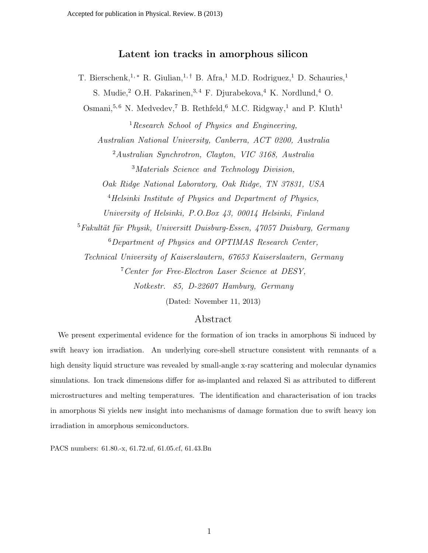# Latent ion tracks in amorphous silicon

T. Bierschenk,<sup>1,\*</sup> R. Giulian,<sup>1,†</sup> B. Afra,<sup>1</sup> M.D. Rodriguez,<sup>1</sup> D. Schauries,<sup>1</sup> S. Mudie,  $2$  O.H. Pakarinen,  $3, 4$  F. Djurabekova,  $4$  K. Nordlund,  $4$  O.

Osmani,<sup>5,6</sup> N. Medvedev,<sup>7</sup> B. Rethfeld,<sup>6</sup> M.C. Ridgway,<sup>1</sup> and P. Kluth<sup>1</sup>

<sup>1</sup> Research School of Physics and Engineering, Australian National University, Canberra, ACT 0200, Australia <sup>2</sup>Australian Synchrotron, Clayton, VIC 3168, Australia <sup>3</sup>Materials Science and Technology Division, Oak Ridge National Laboratory, Oak Ridge, TN 37831, USA <sup>4</sup>Helsinki Institute of Physics and Department of Physics, University of Helsinki, P.O.Box 43, 00014 Helsinki, Finland  $5Fakultät für Physik, Universitt Duisburg-Essen, 47057 Duisburg, Germany$ <sup>6</sup>Department of Physics and OPTIMAS Research Center, Technical University of Kaiserslautern, 67653 Kaiserslautern, Germany <sup>7</sup>Center for Free-Electron Laser Science at DESY,

Notkestr. 85, D-22607 Hamburg, Germany

(Dated: November 11, 2013)

## Abstract

We present experimental evidence for the formation of ion tracks in amorphous Si induced by swift heavy ion irradiation. An underlying core-shell structure consistent with remnants of a high density liquid structure was revealed by small-angle x-ray scattering and molecular dynamics simulations. Ion track dimensions differ for as-implanted and relaxed Si as attributed to different microstructures and melting temperatures. The identification and characterisation of ion tracks in amorphous Si yields new insight into mechanisms of damage formation due to swift heavy ion irradiation in amorphous semiconductors.

PACS numbers: 61.80.-x, 61.72.uf, 61.05.cf, 61.43.Bn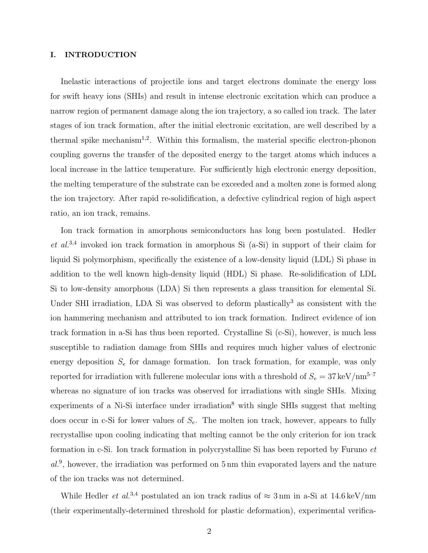## I. INTRODUCTION

Inelastic interactions of projectile ions and target electrons dominate the energy loss for swift heavy ions (SHIs) and result in intense electronic excitation which can produce a narrow region of permanent damage along the ion trajectory, a so called ion track. The later stages of ion track formation, after the initial electronic excitation, are well described by a thermal spike mechanism<sup>1,2</sup>. Within this formalism, the material specific electron-phonon coupling governs the transfer of the deposited energy to the target atoms which induces a local increase in the lattice temperature. For sufficiently high electronic energy deposition, the melting temperature of the substrate can be exceeded and a molten zone is formed along the ion trajectory. After rapid re-solidification, a defective cylindrical region of high aspect ratio, an ion track, remains.

Ion track formation in amorphous semiconductors has long been postulated. Hedler  $et\ al.<sup>3,4</sup>$  invoked ion track formation in amorphous Si (a-Si) in support of their claim for liquid Si polymorphism, specifically the existence of a low-density liquid (LDL) Si phase in addition to the well known high-density liquid (HDL) Si phase. Re-solidification of LDL Si to low-density amorphous (LDA) Si then represents a glass transition for elemental Si. Under SHI irradiation, LDA Si was observed to deform plastically<sup>3</sup> as consistent with the ion hammering mechanism and attributed to ion track formation. Indirect evidence of ion track formation in a-Si has thus been reported. Crystalline Si (c-Si), however, is much less susceptible to radiation damage from SHIs and requires much higher values of electronic energy deposition  $S_e$  for damage formation. Ion track formation, for example, was only reported for irradiation with fullerene molecular ions with a threshold of  $S_e = 37 \,\text{keV/nm}^{5-7}$ whereas no signature of ion tracks was observed for irradiations with single SHIs. Mixing experiments of a Ni-Si interface under irradiation<sup>8</sup> with single SHIs suggest that melting does occur in c-Si for lower values of  $S_e$ . The molten ion track, however, appears to fully recrystallise upon cooling indicating that melting cannot be the only criterion for ion track formation in c-Si. Ion track formation in polycrystalline Si has been reported by Furuno et al.<sup>9</sup>, however, the irradiation was performed on 5 nm thin evaporated layers and the nature of the ion tracks was not determined.

While Hedler *et al.*<sup>3,4</sup> postulated an ion track radius of  $\approx$  3 nm in a-Si at 14.6 keV/nm (their experimentally-determined threshold for plastic deformation), experimental verifica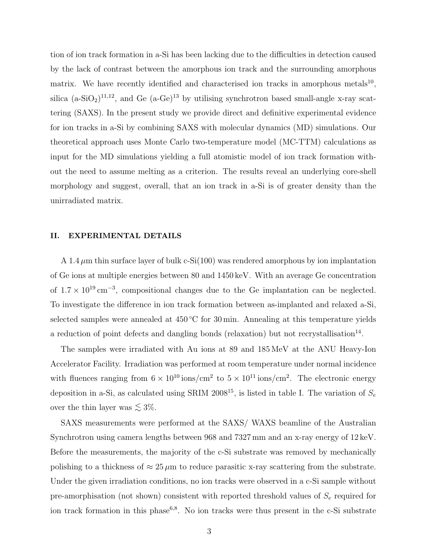tion of ion track formation in a-Si has been lacking due to the difficulties in detection caused by the lack of contrast between the amorphous ion track and the surrounding amorphous matrix. We have recently identified and characterised ion tracks in amorphous metals<sup>10</sup>, silica  $(a-SiO_2)^{11,12}$ , and Ge  $(a-Ge)^{13}$  by utilising synchrotron based small-angle x-ray scattering (SAXS). In the present study we provide direct and definitive experimental evidence for ion tracks in a-Si by combining SAXS with molecular dynamics (MD) simulations. Our theoretical approach uses Monte Carlo two-temperature model (MC-TTM) calculations as input for the MD simulations yielding a full atomistic model of ion track formation without the need to assume melting as a criterion. The results reveal an underlying core-shell morphology and suggest, overall, that an ion track in a-Si is of greater density than the unirradiated matrix.

#### II. EXPERIMENTAL DETAILS

A 1.4  $\mu$ m thin surface layer of bulk c-Si(100) was rendered amorphous by ion implantation of Ge ions at multiple energies between 80 and 1450 keV. With an average Ge concentration of  $1.7 \times 10^{19}$  cm<sup>-3</sup>, compositional changes due to the Ge implantation can be neglected. To investigate the difference in ion track formation between as-implanted and relaxed a-Si, selected samples were annealed at  $450\degree C$  for  $30\text{ min}$ . Annealing at this temperature yields a reduction of point defects and dangling bonds (relaxation) but not recrystallisation<sup>14</sup>.

The samples were irradiated with Au ions at 89 and 185 MeV at the ANU Heavy-Ion Accelerator Facility. Irradiation was performed at room temperature under normal incidence with fluences ranging from  $6 \times 10^{10}$  ions/cm<sup>2</sup> to  $5 \times 10^{11}$  ions/cm<sup>2</sup>. The electronic energy deposition in a-Si, as calculated using SRIM 2008<sup>15</sup>, is listed in table I. The variation of  $S_e$ over the thin layer was  $\lesssim 3\%$ .

SAXS measurements were performed at the SAXS/ WAXS beamline of the Australian Synchrotron using camera lengths between 968 and 7327 mm and an x-ray energy of 12 keV. Before the measurements, the majority of the c-Si substrate was removed by mechanically polishing to a thickness of  $\approx 25 \mu m$  to reduce parasitic x-ray scattering from the substrate. Under the given irradiation conditions, no ion tracks were observed in a c-Si sample without pre-amorphisation (not shown) consistent with reported threshold values of  $S_e$  required for ion track formation in this phase<sup>6,8</sup>. No ion tracks were thus present in the c-Si substrate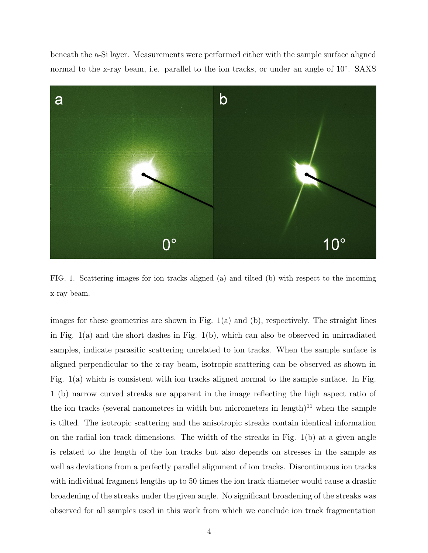beneath the a-Si layer. Measurements were performed either with the sample surface aligned normal to the x-ray beam, i.e. parallel to the ion tracks, or under an angle of 10°. SAXS



FIG. 1. Scattering images for ion tracks aligned (a) and tilted (b) with respect to the incoming x-ray beam.

images for these geometries are shown in Fig.  $1(a)$  and  $(b)$ , respectively. The straight lines in Fig. 1(a) and the short dashes in Fig. 1(b), which can also be observed in unirradiated samples, indicate parasitic scattering unrelated to ion tracks. When the sample surface is aligned perpendicular to the x-ray beam, isotropic scattering can be observed as shown in Fig. 1(a) which is consistent with ion tracks aligned normal to the sample surface. In Fig. 1 (b) narrow curved streaks are apparent in the image reflecting the high aspect ratio of the ion tracks (several nanometres in width but micrometers in length)<sup>11</sup> when the sample is tilted. The isotropic scattering and the anisotropic streaks contain identical information on the radial ion track dimensions. The width of the streaks in Fig. 1(b) at a given angle is related to the length of the ion tracks but also depends on stresses in the sample as well as deviations from a perfectly parallel alignment of ion tracks. Discontinuous ion tracks with individual fragment lengths up to 50 times the ion track diameter would cause a drastic broadening of the streaks under the given angle. No significant broadening of the streaks was observed for all samples used in this work from which we conclude ion track fragmentation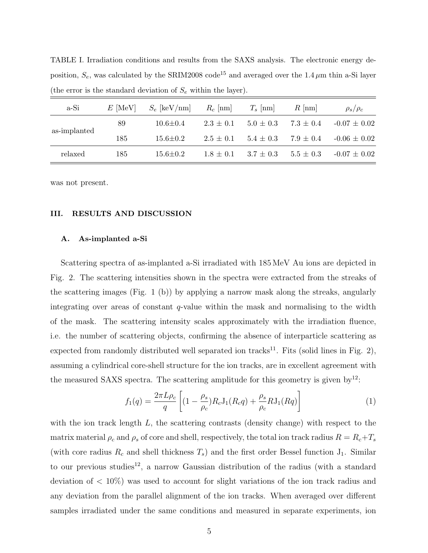| $\mu$ and $\sigma$ and $\sigma$ are beam and $\sigma$ are about $\sigma$ and $\sigma$ $\mu$ and $\sigma$ and $\sigma$ and $\sigma$ and $\sigma$ and $\sigma$ and $\sigma$ and $\sigma$ are above $\sigma$ and $\sigma$ and $\sigma$ are above $\sigma$ and $\sigma$ and $\sigma$ are above $\sigma$ and $\sigma$ |           |                |               |               |               |                  |
|------------------------------------------------------------------------------------------------------------------------------------------------------------------------------------------------------------------------------------------------------------------------------------------------------------------|-----------|----------------|---------------|---------------|---------------|------------------|
| a-Si                                                                                                                                                                                                                                                                                                             | $E$ [MeV] | $S_e$ [keV/nm] | $R_c$ [nm]    | $T_s$ [nm]    | $R$  nm       | $\rho_s/\rho_c$  |
| as-implanted                                                                                                                                                                                                                                                                                                     | 89        | $10.6 \pm 0.4$ | $2.3 \pm 0.1$ | $5.0 \pm 0.3$ | $7.3 \pm 0.4$ | $-0.07 \pm 0.02$ |
|                                                                                                                                                                                                                                                                                                                  | 185       | $15.6 \pm 0.2$ | $2.5 \pm 0.1$ | $5.4 \pm 0.3$ | $7.9 \pm 0.4$ | $-0.06 \pm 0.02$ |
| relaxed                                                                                                                                                                                                                                                                                                          | 185       | $15.6 \pm 0.2$ | $1.8 \pm 0.1$ | $3.7 \pm 0.3$ | $5.5 \pm 0.3$ | $-0.07 \pm 0.02$ |

TABLE I. Irradiation conditions and results from the SAXS analysis. The electronic energy deposition,  $S_e$ , was calculated by the SRIM2008 code<sup>15</sup> and averaged over the 1.4  $\mu$ m thin a-Si layer (the error is the standard deviation of  $S<sub>e</sub>$  within the layer).

was not present.

#### III. RESULTS AND DISCUSSION

#### A. As-implanted a-Si

Scattering spectra of as-implanted a-Si irradiated with 185 MeV Au ions are depicted in Fig. 2. The scattering intensities shown in the spectra were extracted from the streaks of the scattering images (Fig. 1 (b)) by applying a narrow mask along the streaks, angularly integrating over areas of constant  $q$ -value within the mask and normalising to the width of the mask. The scattering intensity scales approximately with the irradiation fluence, i.e. the number of scattering objects, confirming the absence of interparticle scattering as expected from randomly distributed well separated ion tracks<sup>11</sup>. Fits (solid lines in Fig. 2), assuming a cylindrical core-shell structure for the ion tracks, are in excellent agreement with the measured SAXS spectra. The scattering amplitude for this geometry is given by<sup>12</sup>:

$$
f_1(q) = \frac{2\pi L \rho_c}{q} \left[ (1 - \frac{\rho_s}{\rho_c}) R_c J_1(R_c q) + \frac{\rho_s}{\rho_c} R J_1(Rq) \right]
$$
(1)

with the ion track length  $L$ , the scattering contrasts (density change) with respect to the matrix material  $\rho_c$  and  $\rho_s$  of core and shell, respectively, the total ion track radius  $R = R_c + T_s$ (with core radius  $R_c$  and shell thickness  $T_s$ ) and the first order Bessel function  $J_1$ . Similar to our previous studies<sup>12</sup>, a narrow Gaussian distribution of the radius (with a standard deviation of  $\langle 10\% \rangle$  was used to account for slight variations of the ion track radius and any deviation from the parallel alignment of the ion tracks. When averaged over different samples irradiated under the same conditions and measured in separate experiments, ion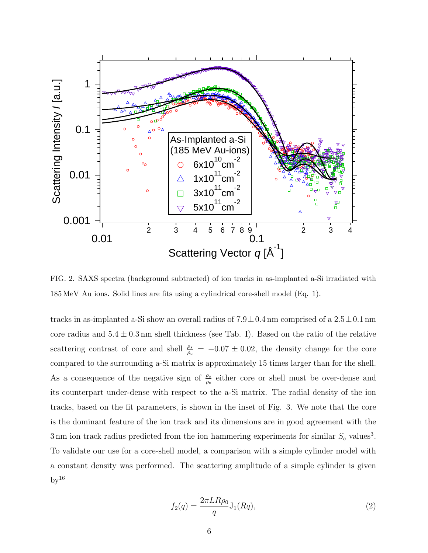

FIG. 2. SAXS spectra (background subtracted) of ion tracks in as-implanted a-Si irradiated with 185 MeV Au ions. Solid lines are fits using a cylindrical core-shell model (Eq. 1).

tracks in as-implanted a-Si show an overall radius of  $7.9 \pm 0.4$  nm comprised of a  $2.5 \pm 0.1$  nm core radius and  $5.4 \pm 0.3$  nm shell thickness (see Tab. I). Based on the ratio of the relative scattering contrast of core and shell  $\frac{\rho_s}{\rho_c} = -0.07 \pm 0.02$ , the density change for the core compared to the surrounding a-Si matrix is approximately 15 times larger than for the shell. As a consequence of the negative sign of  $\frac{\rho_s}{\rho_c}$  either core or shell must be over-dense and its counterpart under-dense with respect to the a-Si matrix. The radial density of the ion tracks, based on the fit parameters, is shown in the inset of Fig. 3. We note that the core is the dominant feature of the ion track and its dimensions are in good agreement with the 3 nm ion track radius predicted from the ion hammering experiments for similar  $S_e$  values<sup>3</sup>. To validate our use for a core-shell model, a comparison with a simple cylinder model with a constant density was performed. The scattering amplitude of a simple cylinder is given  $by<sup>16</sup>$ 

$$
f_2(q) = \frac{2\pi LR \rho_0}{q} J_1(Rq),
$$
\n(2)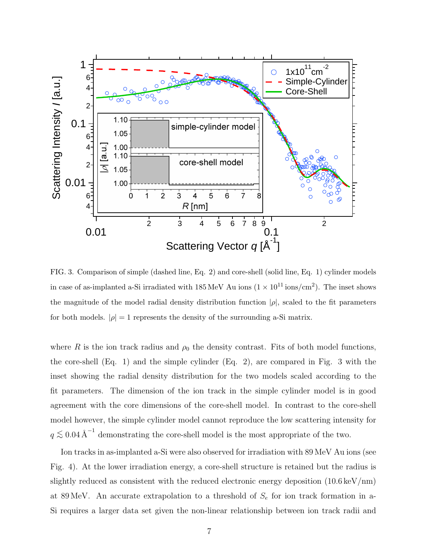

FIG. 3. Comparison of simple (dashed line, Eq. 2) and core-shell (solid line, Eq. 1) cylinder models in case of as-implanted a-Si irradiated with  $185 \text{ MeV}$  Au ions  $(1 \times 10^{11} \text{ ions/cm}^2)$ . The inset shows the magnitude of the model radial density distribution function  $|\rho|$ , scaled to the fit parameters for both models.  $|\rho| = 1$  represents the density of the surrounding a-Si matrix.

where R is the ion track radius and  $\rho_0$  the density contrast. Fits of both model functions, the core-shell (Eq. 1) and the simple cylinder (Eq. 2), are compared in Fig. 3 with the inset showing the radial density distribution for the two models scaled according to the fit parameters. The dimension of the ion track in the simple cylinder model is in good agreement with the core dimensions of the core-shell model. In contrast to the core-shell model however, the simple cylinder model cannot reproduce the low scattering intensity for  $q \lesssim 0.04 \text{ Å}^{-1}$  demonstrating the core-shell model is the most appropriate of the two.

Ion tracks in as-implanted a-Si were also observed for irradiation with 89 MeV Au ions (see Fig. 4). At the lower irradiation energy, a core-shell structure is retained but the radius is slightly reduced as consistent with the reduced electronic energy deposition (10.6 keV/nm) at 89 MeV. An accurate extrapolation to a threshold of  $S_e$  for ion track formation in a-Si requires a larger data set given the non-linear relationship between ion track radii and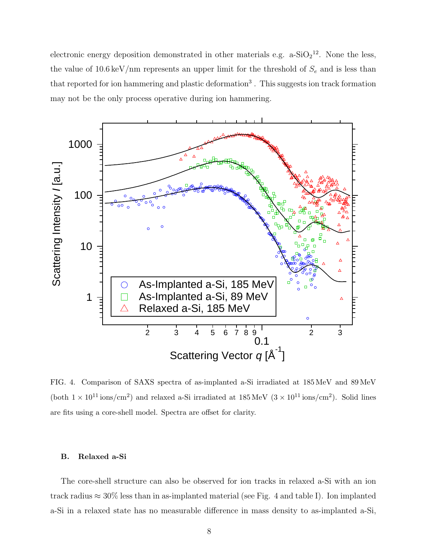electronic energy deposition demonstrated in other materials e.g.  $a-SiO_2^{12}$ . None the less, the value of 10.6 keV/nm represents an upper limit for the threshold of  $S_e$  and is less than that reported for ion hammering and plastic deformation<sup>3</sup>. This suggests ion track formation may not be the only process operative during ion hammering.



FIG. 4. Comparison of SAXS spectra of as-implanted a-Si irradiated at 185 MeV and 89 MeV (both  $1 \times 10^{11}$  ions/cm<sup>2</sup>) and relaxed a-Si irradiated at  $185 \text{ MeV}$   $(3 \times 10^{11} \text{ ions/cm}^2)$ . Solid lines are fits using a core-shell model. Spectra are offset for clarity.

#### B. Relaxed a-Si

The core-shell structure can also be observed for ion tracks in relaxed a-Si with an ion track radius  $\approx 30\%$  less than in as-implanted material (see Fig. 4 and table I). Ion implanted a-Si in a relaxed state has no measurable difference in mass density to as-implanted a-Si,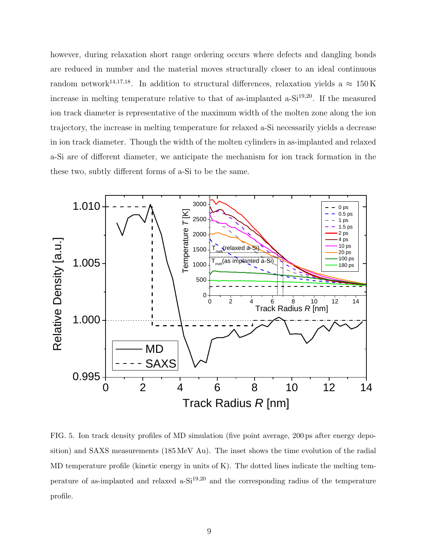however, during relaxation short range ordering occurs where defects and dangling bonds are reduced in number and the material moves structurally closer to an ideal continuous random network<sup>14,17,18</sup>. In addition to structural differences, relaxation yields a  $\approx 150 \,\mathrm{K}$ increase in melting temperature relative to that of as-implanted  $a-Si^{19,20}$ . If the measured ion track diameter is representative of the maximum width of the molten zone along the ion trajectory, the increase in melting temperature for relaxed a-Si necessarily yields a decrease in ion track diameter. Though the width of the molten cylinders in as-implanted and relaxed a-Si are of different diameter, we anticipate the mechanism for ion track formation in the these two, subtly different forms of a-Si to be the same.



FIG. 5. Ion track density profiles of MD simulation (five point average, 200 ps after energy deposition) and SAXS measurements (185 MeV Au). The inset shows the time evolution of the radial MD temperature profile (kinetic energy in units of K). The dotted lines indicate the melting temperature of as-implanted and relaxed a-Si19,20 and the corresponding radius of the temperature profile.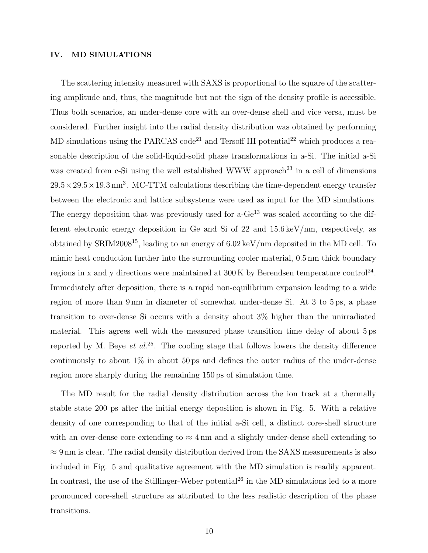## IV. MD SIMULATIONS

The scattering intensity measured with SAXS is proportional to the square of the scattering amplitude and, thus, the magnitude but not the sign of the density profile is accessible. Thus both scenarios, an under-dense core with an over-dense shell and vice versa, must be considered. Further insight into the radial density distribution was obtained by performing MD simulations using the PARCAS code<sup>21</sup> and Tersoff III potential<sup>22</sup> which produces a reasonable description of the solid-liquid-solid phase transformations in a-Si. The initial a-Si was created from c-Si using the well established WWW approach<sup>23</sup> in a cell of dimensions  $29.5 \times 29.5 \times 19.3$  nm<sup>3</sup>. MC-TTM calculations describing the time-dependent energy transfer between the electronic and lattice subsystems were used as input for the MD simulations. The energy deposition that was previously used for  $a-Ge^{13}$  was scaled according to the different electronic energy deposition in Ge and Si of 22 and 15.6 keV/nm, respectively, as obtained by SRIM2008<sup>15</sup>, leading to an energy of  $6.02 \,\text{keV/nm}$  deposited in the MD cell. To mimic heat conduction further into the surrounding cooler material, 0.5 nm thick boundary regions in x and y directions were maintained at  $300\,\mathrm{K}$  by Berendsen temperature control<sup>24</sup>. Immediately after deposition, there is a rapid non-equilibrium expansion leading to a wide region of more than 9 nm in diameter of somewhat under-dense Si. At 3 to 5 ps, a phase transition to over-dense Si occurs with a density about 3% higher than the unirradiated material. This agrees well with the measured phase transition time delay of about 5 ps reported by M. Beye et  $al^{25}$ . The cooling stage that follows lowers the density difference continuously to about  $1\%$  in about 50 ps and defines the outer radius of the under-dense region more sharply during the remaining 150 ps of simulation time.

The MD result for the radial density distribution across the ion track at a thermally stable state 200 ps after the initial energy deposition is shown in Fig. 5. With a relative density of one corresponding to that of the initial a-Si cell, a distinct core-shell structure with an over-dense core extending to  $\approx 4 \text{ nm}$  and a slightly under-dense shell extending to  $\approx 9 \,\text{nm}$  is clear. The radial density distribution derived from the SAXS measurements is also included in Fig. 5 and qualitative agreement with the MD simulation is readily apparent. In contrast, the use of the Stillinger-Weber potential<sup>26</sup> in the MD simulations led to a more pronounced core-shell structure as attributed to the less realistic description of the phase transitions.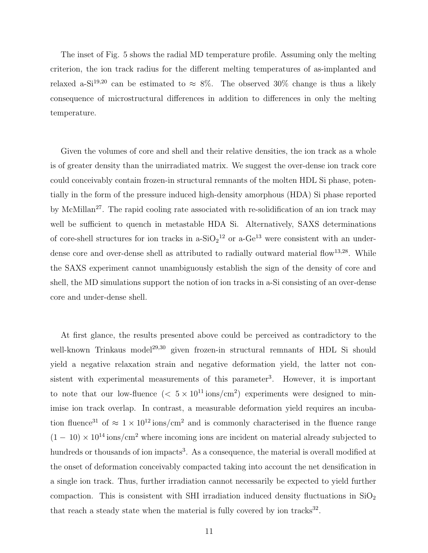The inset of Fig. 5 shows the radial MD temperature profile. Assuming only the melting criterion, the ion track radius for the different melting temperatures of as-implanted and relaxed a-Si<sup>19,20</sup> can be estimated to  $\approx 8\%$ . The observed 30% change is thus a likely consequence of microstructural differences in addition to differences in only the melting temperature.

Given the volumes of core and shell and their relative densities, the ion track as a whole is of greater density than the unirradiated matrix. We suggest the over-dense ion track core could conceivably contain frozen-in structural remnants of the molten HDL Si phase, potentially in the form of the pressure induced high-density amorphous (HDA) Si phase reported by McMillan<sup>27</sup>. The rapid cooling rate associated with re-solidification of an ion track may well be sufficient to quench in metastable HDA Si. Alternatively, SAXS determinations of core-shell structures for ion tracks in a- $SiO<sub>2</sub><sup>12</sup>$  or a-Ge<sup>13</sup> were consistent with an underdense core and over-dense shell as attributed to radially outward material flow<sup>13,28</sup>. While the SAXS experiment cannot unambiguously establish the sign of the density of core and shell, the MD simulations support the notion of ion tracks in a-Si consisting of an over-dense core and under-dense shell.

At first glance, the results presented above could be perceived as contradictory to the well-known Trinkaus model<sup>29,30</sup> given frozen-in structural remnants of HDL Si should yield a negative relaxation strain and negative deformation yield, the latter not consistent with experimental measurements of this parameter<sup>3</sup>. However, it is important to note that our low-fluence  $(< 5 \times 10^{11} \text{ ions/cm}^2)$  experiments were designed to minimise ion track overlap. In contrast, a measurable deformation yield requires an incubation fluence<sup>31</sup> of  $\approx 1 \times 10^{12}$  ions/cm<sup>2</sup> and is commonly characterised in the fluence range  $(1 - 10) \times 10^{14}$  ions/cm<sup>2</sup> where incoming ions are incident on material already subjected to hundreds or thousands of ion impacts<sup>3</sup>. As a consequence, the material is overall modified at the onset of deformation conceivably compacted taking into account the net densification in a single ion track. Thus, further irradiation cannot necessarily be expected to yield further compaction. This is consistent with SHI irradiation induced density fluctuations in  $SiO<sub>2</sub>$ that reach a steady state when the material is fully covered by ion tracks $32$ .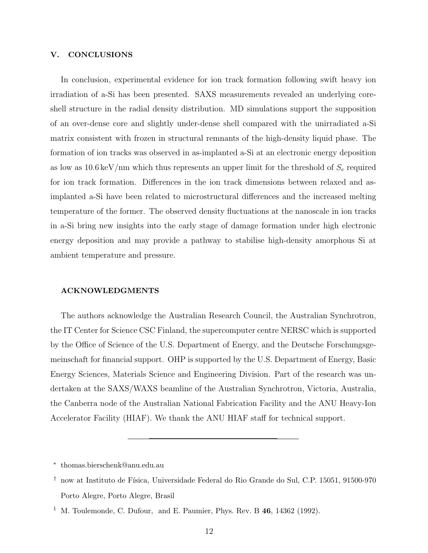## V. CONCLUSIONS

In conclusion, experimental evidence for ion track formation following swift heavy ion irradiation of a-Si has been presented. SAXS measurements revealed an underlying coreshell structure in the radial density distribution. MD simulations support the supposition of an over-dense core and slightly under-dense shell compared with the unirradiated a-Si matrix consistent with frozen in structural remnants of the high-density liquid phase. The formation of ion tracks was observed in as-implanted a-Si at an electronic energy deposition as low as  $10.6 \,\mathrm{keV/nm}$  which thus represents an upper limit for the threshold of  $S_e$  required for ion track formation. Differences in the ion track dimensions between relaxed and asimplanted a-Si have been related to microstructural differences and the increased melting temperature of the former. The observed density fluctuations at the nanoscale in ion tracks in a-Si bring new insights into the early stage of damage formation under high electronic energy deposition and may provide a pathway to stabilise high-density amorphous Si at ambient temperature and pressure.

#### ACKNOWLEDGMENTS

The authors acknowledge the Australian Research Council, the Australian Synchrotron, the IT Center for Science CSC Finland, the supercomputer centre NERSC which is supported by the Office of Science of the U.S. Department of Energy, and the Deutsche Forschungsgemeinschaft for financial support. OHP is supported by the U.S. Department of Energy, Basic Energy Sciences, Materials Science and Engineering Division. Part of the research was undertaken at the SAXS/WAXS beamline of the Australian Synchrotron, Victoria, Australia, the Canberra node of the Australian National Fabrication Facility and the ANU Heavy-Ion Accelerator Facility (HIAF). We thank the ANU HIAF staff for technical support.

<sup>∗</sup> thomas.bierschenk@anu.edu.au

 $\dagger$  now at Instituto de Física, Universidade Federal do Rio Grande do Sul, C.P. 15051, 91500-970 Porto Alegre, Porto Alegre, Brasil

<sup>&</sup>lt;sup>1</sup> M. Toulemonde, C. Dufour, and E. Paumier, Phys. Rev. B  $46$ , 14362 (1992).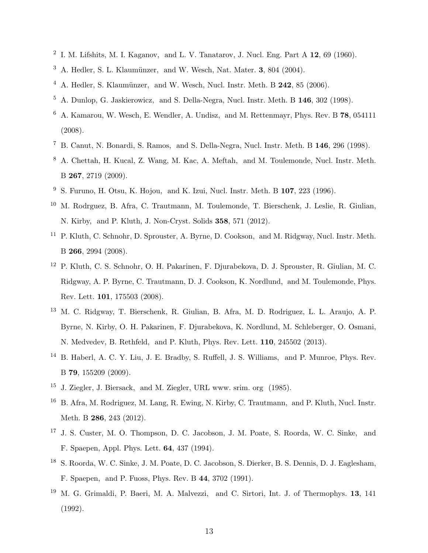- $^2$  I. M. Lifshits, M. I. Kaganov, and L. V. Tanatarov, J. Nucl. Eng. Part A 12, 69 (1960).
- $3$  A. Hedler, S. L. Klaumünzer, and W. Wesch, Nat. Mater. 3, 804 (2004).
- $4$  A. Hedler, S. Klaumünzer, and W. Wesch, Nucl. Instr. Meth. B 242, 85 (2006).
- <sup>5</sup> A. Dunlop, G. Jaskierowicz, and S. Della-Negra, Nucl. Instr. Meth. B 146, 302 (1998).
- <sup>6</sup> A. Kamarou, W. Wesch, E. Wendler, A. Undisz, and M. Rettenmayr, Phys. Rev. B 78, 054111 (2008).
- <sup>7</sup> B. Canut, N. Bonardi, S. Ramos, and S. Della-Negra, Nucl. Instr. Meth. B 146, 296 (1998).
- <sup>8</sup> A. Chettah, H. Kucal, Z. Wang, M. Kac, A. Meftah, and M. Toulemonde, Nucl. Instr. Meth. B 267, 2719 (2009).
- <sup>9</sup> S. Furuno, H. Otsu, K. Hojou, and K. Izui, Nucl. Instr. Meth. B  $107$ ,  $223$  (1996).
- <sup>10</sup> M. Rodrguez, B. Afra, C. Trautmann, M. Toulemonde, T. Bierschenk, J. Leslie, R. Giulian, N. Kirby, and P. Kluth, J. Non-Cryst. Solids 358, 571 (2012).
- <sup>11</sup> P. Kluth, C. Schnohr, D. Sprouster, A. Byrne, D. Cookson, and M. Ridgway, Nucl. Instr. Meth. B 266, 2994 (2008).
- <sup>12</sup> P. Kluth, C. S. Schnohr, O. H. Pakarinen, F. Djurabekova, D. J. Sprouster, R. Giulian, M. C. Ridgway, A. P. Byrne, C. Trautmann, D. J. Cookson, K. Nordlund, and M. Toulemonde, Phys. Rev. Lett. 101, 175503 (2008).
- <sup>13</sup> M. C. Ridgway, T. Bierschenk, R. Giulian, B. Afra, M. D. Rodriguez, L. L. Araujo, A. P. Byrne, N. Kirby, O. H. Pakarinen, F. Djurabekova, K. Nordlund, M. Schleberger, O. Osmani, N. Medvedev, B. Rethfeld, and P. Kluth, Phys. Rev. Lett. 110, 245502 (2013).
- <sup>14</sup> B. Haberl, A. C. Y. Liu, J. E. Bradby, S. Ruffell, J. S. Williams, and P. Munroe, Phys. Rev. B 79, 155209 (2009).
- <sup>15</sup> J. Ziegler, J. Biersack, and M. Ziegler, URL www. srim. org (1985).
- <sup>16</sup> B. Afra, M. Rodriguez, M. Lang, R. Ewing, N. Kirby, C. Trautmann, and P. Kluth, Nucl. Instr. Meth. B 286, 243 (2012).
- <sup>17</sup> J. S. Custer, M. O. Thompson, D. C. Jacobson, J. M. Poate, S. Roorda, W. C. Sinke, and F. Spaepen, Appl. Phys. Lett. 64, 437 (1994).
- <sup>18</sup> S. Roorda, W. C. Sinke, J. M. Poate, D. C. Jacobson, S. Dierker, B. S. Dennis, D. J. Eaglesham, F. Spaepen, and P. Fuoss, Phys. Rev. B 44, 3702 (1991).
- <sup>19</sup> M. G. Grimaldi, P. Baeri, M. A. Malvezzi, and C. Sirtori, Int. J. of Thermophys. 13, 141 (1992).